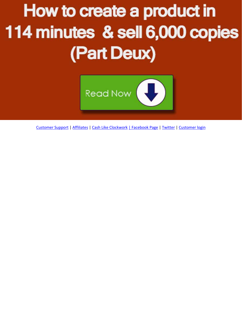# How to create a product in 114 minutes & sell 6,000 copies (Part Deux)



[Customer Support](http://getyoursupport.com/) | [Affiliates](http://promotemarlon.com/blog) | [Cash Like Clockwork](http://cashlikeclockwork.com/) [| Facebook Page](http://facebook.com/marlonsnews) | [Twitter](http://twitter.com/marlonsanders) [| Customer login](http://getyourproducts.com/yourproduct/wp-login.php)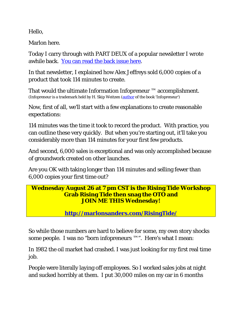Hello,

Marlon here.

Today I carry through with PART DEUX of a popular newsletter I wrote awhile back. [You can read the back issue here.](http://marlonsnews.com/infopreneur/)

In that newsletter, I explained how Alex Jeffreys sold 6,000 copies of a product that took 114 minutes to create.

That would the ultimate Information Infopreneur ™ accomplishment. (Infopreneur is a trademark held by H. Skip Weitzen [\(author](http://www.businessdictionary.com/definition/author.html) of the book 'Infopreneur')

Now, first of all, we'll start with a few explanations to create reasonable expectations:

114 minutes was the time it took to record the product. With practice, you can outline these very quickly. But when you're starting out, it'll take you considerably more than 114 minutes for your first few products.

And second, 6,000 sales is exceptional and was only accomplished because of groundwork created on other launches.

Are you OK with taking longer than 114 minutes and selling fewer than 6,000 copies your first time out?

#### **Wednesday August 26 at 7 pm CST is the Rising Tide Workshop Grab Rising Tide then snag the OTO and JOIN ME THIS Wednesday!**

**<http://marlonsanders.com/RisingTide/>**

So while those numbers are hard to believe for some, my own story shocks some people. I was no "born infopreneurs  $TM$ ". Here's what I mean:

In 1982 the oil market had crashed. I was just looking for my first real time job.

People were literally laying off employees. So I worked sales jobs at night and sucked horribly at them. I put 30,000 miles on my car in 6 months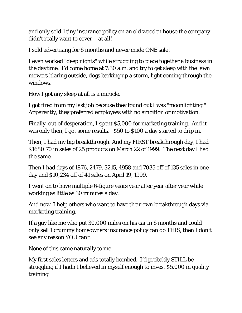and only sold 1 tiny insurance policy on an old wooden house the company didn't really want to cover – at all!

I sold advertising for 6 months and never made ONE sale!

I even worked "deep nights" while struggling to piece together a business in the daytime. I'd come home at 7:30 a.m. and try to get sleep with the lawn mowers blaring outside, dogs barking up a storm, light coming through the windows.

How I got any sleep at all is a miracle.

I got fired from my last job because they found out I was "moonlighting." Apparently, they preferred employees with no ambition or motivation.

Finally, out of desperation, I spent \$5,000 for marketing training. And it was only then, I got some results. \$50 to \$100 a day started to drip in.

Then, I had my big breakthrough. And my FIRST breakthrough day, I had \$1680.70 in sales of 25 products on March 22 of 1999. The next day I had the same.

Then I had days of 1876, 2479, 3215, 4958 and 7035 off of 135 sales in one day and \$10,234 off of 41 sales on April 19, 1999.

I went on to have multiple 6-figure years year after year after year while working as little as 30 minutes a day.

And now, I help others who want to have their own breakthrough days via marketing training.

If a guy like me who put 30,000 miles on his car in 6 months and could only sell 1 crummy homeowners insurance policy can do THIS, then I don't see any reason YOU can't.

None of this came naturally to me.

My first sales letters and ads totally bombed. I'd probably STILL be struggling if I hadn't believed in myself enough to invest \$5,000 in quality training.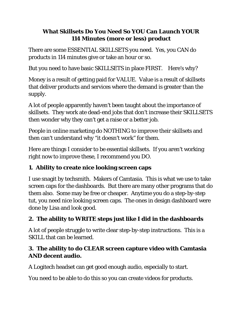#### **What Skillsets Do You Need So YOU Can Launch YOUR 114 Minutes (more or less) product**

There are some ESSENTIAL SKILLSETS you need. Yes, you CAN do products in 114 minutes give or take an hour or so.

But you need to have basic SKILLSETS in place FIRST. Here's why?

Money is a result of getting paid for VALUE. Value is a result of skillsets that deliver products and services where the demand is greater than the supply.

A lot of people apparently haven't been taught about the importance of skillsets. They work ate dead-end jobs that don't increase their SKILLSETS then wonder why they can't get a raise or a better job.

People in online marketing do NOTHING to improve their skillsets and then can't understand why "it doesn't work" for them.

Here are things I consider to be essential skillsets. If you aren't working right now to improve these, I recommend you DO.

#### **1. Ability to create nice looking screen caps**

I use snagit by techsmith. Makers of Camtasia. This is what we use to take screen caps for the dashboards. But there are many other programs that do them also. Some may be free or cheaper. Anytime you do a step-by-step tut, you need nice looking screen caps. The ones in design dashboard were done by Lisa and look good.

## **2. The ability to WRITE steps just like I did in the dashboards**

A lot of people struggle to write clear step-by-step instructions. This is a SKILL that can be learned.

#### **3. The ability to do CLEAR screen capture video with Camtasia AND decent audio.**

A Logitech headset can get good enough audio, especially to start.

You need to be able to do this so you can create videos for products.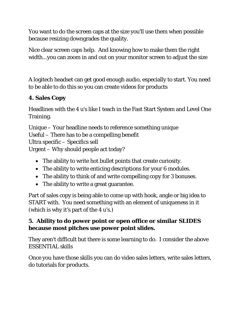You want to do the screen caps at the size you'll use them when possible because resizing downgrades the quality.

Nice clear screen caps help. And knowing how to make them the right width...you can zoom in and out on your monitor screen to adjust the size

A logitech headset can get good enough audio, especially to start. You need to be able to do this so you can create videos for products

## **4. Sales Copy**

Headlines with the 4 u's like I teach in the Fast Start System and Level One Training.

Unique – Your headline needs to reference something unique Useful – There has to be a compelling benefit Ultra specific – Specifics sell Urgent – Why should people act today?

- The ability to write hot bullet points that create curiosity.
- The ability to write enticing descriptions for your 6 modules.
- The ability to think of and write compelling copy for 3 bonuses.
- The ability to write a great guarantee.

Part of sales copy is being able to come up with hook, angle or big idea to START with. You need something with an element of uniqueness in it (which is why it's part of the 4 u's.)

#### **5. Ability to do power point or open office or similar SLIDES because most pitches use power point slides.**

They aren't difficult but there is some learning to do. I consider the above ESSENTIAL skills

Once you have those skills you can do video sales letters, write sales letters, do tutorials for products.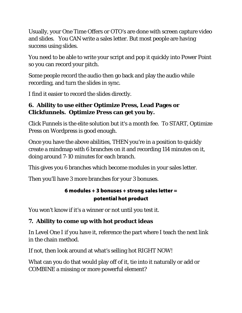Usually, your One Time Offers or OTO's are done with screen capture video and slides. You CAN write a sales letter. But most people are having success using slides.

You need to be able to write your script and pop it quickly into Power Point so you can record your pitch.

Some people record the audio then go back and play the audio while recording, and turn the slides in sync.

I find it easier to record the slides directly.

#### **6. Ability to use either Optimize Press, Lead Pages or Clickfunnels. Optimize Press can get you by.**

Click Funnels is the elite solution but it's a month fee. To START, Optimize Press on Wordpress is good enough.

Once you have the above abilities, THEN you're in a position to quickly create a mindmap with 6 branches on it and recording 114 minutes on it, doing around 7-10 minutes for each branch.

This gives you 6 branches which become modules in your sales letter.

Then you'll have 3 more branches for your 3 bonuses.

#### 6 modules + 3 bonuses + strong sales letter = potential hot product

You won't know if it's a winner or not until you test it.

## **7. Ability to come up with hot product ideas**

In Level One I if you have it, reference the part where I teach the next link in the chain method.

If not, then look around at what's selling hot RIGHT NOW!

What can you do that would play off of it, tie into it naturally or add or COMBINE a missing or more powerful element?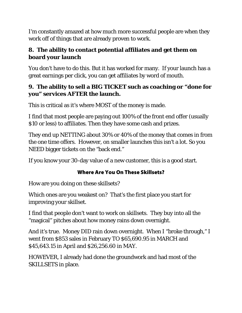I'm constantly amazed at how much more successful people are when they work off of things that are already proven to work.

#### **8. The ability to contact potential affiliates and get them on board your launch**

You don't have to do this. But it has worked for many. If your launch has a great earnings per click, you can get affiliates by word of mouth.

#### **9. The ability to sell a BIG TICKET such as coaching or "done for you" services AFTER the launch.**

This is critical as it's where MOST of the money is made.

I find that most people are paying out 100% of the front end offer (usually \$10 or less) to affiliates. Then they have some cash and prizes.

They end up NETTING about 30% or 40% of the money that comes in from the one time offers. However, on smaller launches this isn't a lot. So you NEED bigger tickets on the "back end."

If you know your 30-day value of a new customer, this is a good start.

## Where Are You On These Skillsets?

How are you doing on these skillsets?

Which ones are you weakest on? That's the first place you start for improving your skillset.

I find that people don't want to work on skillsets. They buy into all the "magical" pitches about how money rains down overnight.

And it's true. Money DID rain down overnight. When I "broke through," I went from \$853 sales in February TO \$65,690.95 in MARCH and \$45,643.15 in April and \$26,256.60 in MAY.

HOWEVER, I already had done the groundwork and had most of the SKILLSETS in place.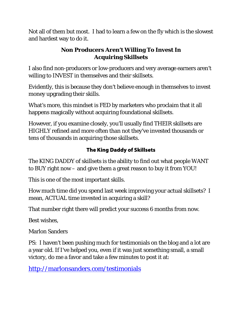Not all of them but most. I had to learn a few on the fly which is the slowest and hardest way to do it.

#### **Non Producers Aren't Willing To Invest In Acquiring Skillsets**

I also find non-producers or low-producers and very average earners aren't willing to INVEST in themselves and their skillsets.

Evidently, this is because they don't believe enough in themselves to invest money upgrading their skills.

What's more, this mindset is FED by marketers who proclaim that it all happens magically without acquiring foundational skillsets.

However, if you examine closely, you'll usually find THEIR skillsets are HIGHLY refined and more often than not they've invested thousands or tens of thousands in acquiring those skillsets.

#### The King Daddy of Skillsets

The KING DADDY of skillsets is the ability to find out what people WANT to BUY right now – and give them a great reason to buy it from YOU!

This is one of the most important skills.

How much time did you spend last week improving your actual skillsets? I mean, ACTUAL time invested in acquiring a skill?

That number right there will predict your success 6 months from now.

Best wishes,

Marlon Sanders

PS: I haven't been pushing much for testimonials on the blog and a lot are a year old. If I've helped you, even if it was just something small, a small victory, do me a favor and take a few minutes to post it at:

<http://marlonsanders.com/testimonials>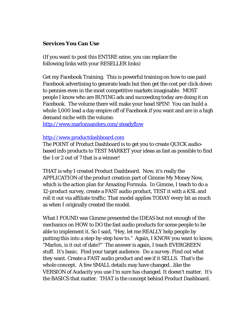#### **Services You Can Use**

(If you want to post this ENTIRE ezine, you can replace the following links with your RESELLER links)

Get my Facebook Training. This is powerful training on how to use paid Facebook advertising to generate leads but then get the cost per click down to pennies even in the most competitive markets imaginable. MOST people I know who are BUYING ads and succeeding today are doing it on Facebook. The volume there will make your head SPIN! You can build a whole 1,000 lead a day empire off of Facebook if you want and are in a high demand niche with the volume.

<http://www.marlonsanders.com/steadyflow>

#### [http://www.productdashboard.com](http://www.productdashboard.com/)

The POINT of Product Dashboard is to get you to create QUICK audiobased info products to TEST MARKET your ideas as fast as possible to find the 1 or 2 out of 7 that is a winner!

THAT is why I created Product Dashboard. Now, it's really the APPLICATION of the product creation part of Gimme My Money Now, which is the action plan for Amazing Formula. In Gimme, I teach to do a 12-product survey, create a FAST audio product, TEST it with a KSL and roll it out via affiliate traffic. That model applies TODAY every bit as much as when I originally created the model.

What I FOUND was Gimme presented the IDEAS but not enough of the mechanics on HOW to DO the fast audio products for some people to be able to implement it. So I said, "Hey, let me REALLY help people by putting this into a step-by-step how to." Again, I KNOW you want to know, "Marlon, is it out of date?" The answer is again, I teach EVERGREEN stuff. It's basic. Find your target audience. Do a survey. Find out what they want. Create a FAST audio product and see if it SELLS. That's the whole concept. A few SMALL details may have changed…like the VERSION of Audacity you use I'm sure has changed. It doesn't matter. It's the BASICS that matter. THAT is the concept behind Product Dashboard.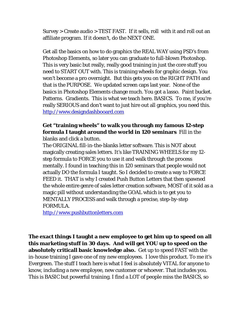Survey > Create audio > TEST FAST. If it sells, roll with it and roll out an affiliate program. If it doesn't, do the NEXT ONE.

Get all the basics on how to do graphics the REAL WAY using PSD's from Photoshop Elements, so later you can graduate to full-blown Photoshop. This is very basic but really, really good training in just the core stuff you need to START OUT with. This is training wheels for graphic design. You won't become a pro overnight. But this gets you on the RIGHT PATH and that is the PURPOSE. We updated screen caps last year. None of the basics in Photoshop Elements change much. You got a lasso. Paint bucket. Patterns. Gradients. This is what we teach here. BASICS. To me, if you're really SERIOUS and don't want to just hire out all graphics, you need this. [http://www.designdashbooard.com](http://www.designdashbooard.com/)

#### **Get "training wheels" to walk you through my famous 12-step formula I taught around the world in 120 seminars** Fill in the blanks and click a button.

The ORIGINAL fill-in-the-blanks letter software. This is NOT about magically creating sales letters. It's like TRAINING WHEELS for my 12 step formula to FORCE you to use it and walk through the process mentally. I found in teaching this in 120 seminars that people would not actually DO the formula I taught. So I decided to create a way to FORCE FEED it. THAT is why I created Push Button Letters that then spawned the whole entire genre of sales letter creation software, MOST of it sold as a magic pill without understanding the GOAL which is to get you to MENTALLY PROCESS and walk through a precise, step-by-step FORMULA.

[http://www.pushbuttonletters.com](http://www.pushbuttonletters.com/)

**The exact things I taught a new employee to get him up to speed on all this marketing stuff in 30 days. And will get YOU up to speed on the absolutely criticall basic knowledge also.** Get up to speed FAST with the in-house training I gave one of my new employees. I love this product. To me it's Evergreen. The stuff I teach here is what I feel is absolutely VITAL for anyone to know, including a new employee, new customer or whoever. That includes you. This is BASIC but powerful training. I find a LOT of people miss the BASICS, so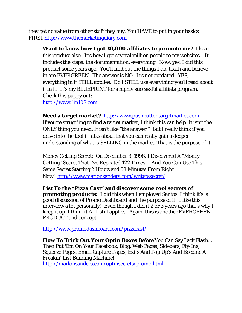they get no value from other stuff they buy. You HAVE to put in your basics FIRST [http://www.themarketingdiary.com](http://www.themarketingdiary.com/)

**Want to know how I got 30,000 affiliates to promote me?** I love this product also. It's how I got several million people to my websites. It includes the steps, the documentation, everything. Now, yes, I did this product some years ago. You'll find out the things I do, teach and believe in are EVERGREEN. The answer is NO. It's not outdated. YES, everything in it STILL applies. Do I STILL use everything you'll read about it in it. It's my BLUEPRINT for a highly successful affiliate program. Check this puppy out: [http://www.1in102.com](http://www.1in102.com/)

**Need a target market?** [http://www.pushbuttontargetmarket.com](http://www.pushbuttontargetmarket.com/) If you're struggling to find a target market, I think this can help. It isn't the ONLY thing you need. It isn't like "the answer." But I really think if you delve into the tool it talks about that you can really gain a deeper understanding of what is SELLING in the market. That is the purpose of it.

Money Getting Secret: On December 3, 1998, I Discovered A "Money Getting" Secret That I've Repeated 122 Times -- And You Can Use This Same Secret Starting 2 Hours and 58 Minutes From Right Now! <http://www.marlonsanders.com/writerssecret/>

**List To the "Pizza Cast" and discover some cool secrets of promoting products:** I did this when I employed Santos. I think it's a good discussion of Promo Dashboard and the purpose of it. I like this interview a lot personally! Even though I did it 2 or 3 years ago that's why I keep it up. I think it ALL still applies. Again, this is another EVERGREEN PRODUCT and concept.

<http://www.promodashboard.com/pizzacast/>

**How To Trick Out Your Optin Boxes** Before You Can Say Jack Flash... Then Put 'Em On Your Facebook, Blog, Web Pages, Sidebars, Fly-Ins, Squeeze Pages, Email Capture Pages, Exits And Pop Up's And Become A Freakin' List Building Machine! <http://marlonsanders.com/optinsecrets/promo.html>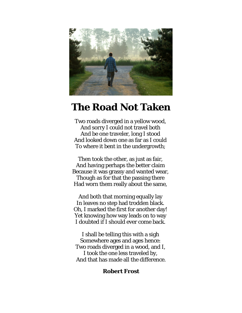

## **The Road Not Taken**

Two roads diverged in a yellow wood, And sorry I could not travel both And be one traveler, long I stood And looked down one as far as I could To where it bent in the undergrowth;

Then took the other, as just as fair, And having perhaps the better claim Because it was grassy and wanted wear, Though as for that the passing there Had worn them really about the same,

And both that morning equally lay In leaves no step had trodden black. Oh, I marked the first for another day! Yet knowing how way leads on to way I doubted if I should ever come back.

I shall be telling this with a sigh Somewhere ages and ages hence: Two roads diverged in a wood, and I, I took the one less traveled by, And that has made all the difference.

#### **Robert Frost**